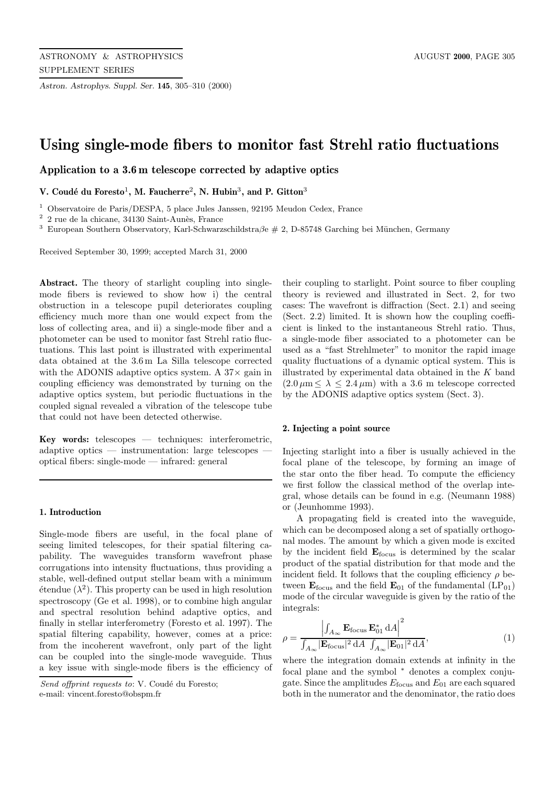*Astron. Astrophys. Suppl. Ser.* **145**, 305–310 (2000)

# **Using single-mode fibers to monitor fast Strehl ratio fluctuations**

**Application to a 3.6 m telescope corrected by adaptive optics**

**V. Coud´e du Foresto**<sup>1</sup>**, M. Faucherre**<sup>2</sup>**, N. Hubin**<sup>3</sup>**, and P. Gitton**<sup>3</sup>

<sup>1</sup> Observatoire de Paris/DESPA, 5 place Jules Janssen, 92195 Meudon Cedex, France

 $^2\,$ 2 rue de la chicane, 34130 Saint-Aunès, France

<sup>3</sup> European Southern Observatory, Karl-Schwarzschildstra $\beta e \neq 2$ , D-85748 Garching bei München, Germany

Received September 30, 1999; accepted March 31, 2000

**Abstract.** The theory of starlight coupling into singlemode fibers is reviewed to show how i) the central obstruction in a telescope pupil deteriorates coupling efficiency much more than one would expect from the loss of collecting area, and ii) a single-mode fiber and a photometer can be used to monitor fast Strehl ratio fluctuations. This last point is illustrated with experimental data obtained at the 3.6 m La Silla telescope corrected with the ADONIS adaptive optics system. A  $37\times$  gain in coupling efficiency was demonstrated by turning on the adaptive optics system, but periodic fluctuations in the coupled signal revealed a vibration of the telescope tube that could not have been detected otherwise.

**Key words:** telescopes — techniques: interferometric, adaptive optics — instrumentation: large telescopes optical fibers: single-mode — infrared: general

#### **1. Introduction**

Single-mode fibers are useful, in the focal plane of seeing limited telescopes, for their spatial filtering capability. The waveguides transform wavefront phase corrugations into intensity fluctuations, thus providing a stable, well-defined output stellar beam with a minimum  $\acute{e}$ tendue ( $\lambda^2$ ). This property can be used in high resolution spectroscopy (Ge et al. 1998), or to combine high angular and spectral resolution behind adaptive optics, and finally in stellar interferometry (Foresto et al. 1997). The spatial filtering capability, however, comes at a price: from the incoherent wavefront, only part of the light can be coupled into the single-mode waveguide. Thus a key issue with single-mode fibers is the efficiency of their coupling to starlight. Point source to fiber coupling theory is reviewed and illustrated in Sect. 2, for two cases: The wavefront is diffraction (Sect. 2.1) and seeing (Sect. 2.2) limited. It is shown how the coupling coefficient is linked to the instantaneous Strehl ratio. Thus, a single-mode fiber associated to a photometer can be used as a "fast Strehlmeter" to monitor the rapid image quality fluctuations of a dynamic optical system. This is illustrated by experimental data obtained in the  $K$  band  $(2.0 \,\mu\text{m} \leq \lambda \leq 2.4 \,\mu\text{m})$  with a 3.6 m telescope corrected by the ADONIS adaptive optics system (Sect. 3).

#### **2. Injecting a point source**

Injecting starlight into a fiber is usually achieved in the focal plane of the telescope, by forming an image of the star onto the fiber head. To compute the efficiency we first follow the classical method of the overlap integral, whose details can be found in e.g. (Neumann 1988) or (Jeunhomme 1993).

A propagating field is created into the waveguide, which can be decomposed along a set of spatially orthogonal modes. The amount by which a given mode is excited by the incident field **E**focus is determined by the scalar product of the spatial distribution for that mode and the incident field. It follows that the coupling efficiency  $\rho$  between  $\mathbf{E}_{\text{focus}}$  and the field  $\mathbf{E}_{01}$  of the fundamental  $\text{(LP}_{01})$ mode of the circular waveguide is given by the ratio of the integrals:

$$
\rho = \frac{\left| \int_{A_{\infty}} \mathbf{E}_{\text{focus}} \mathbf{E}_{01}^* \, \mathrm{d}A \right|^2}{\int_{A_{\infty}} |\mathbf{E}_{\text{focus}}|^2 \, \mathrm{d}A \, \int_{A_{\infty}} |\mathbf{E}_{01}|^2 \, \mathrm{d}A},\tag{1}
$$

where the integration domain extends at infinity in the focal plane and the symbol  $*$  denotes a complex conjugate. Since the amplitudes  $E_{\text{focus}}$  and  $E_{01}$  are each squared both in the numerator and the denominator, the ratio does

Send offprint requests to: V. Coudé du Foresto: e-mail: vincent.foresto@obspm.fr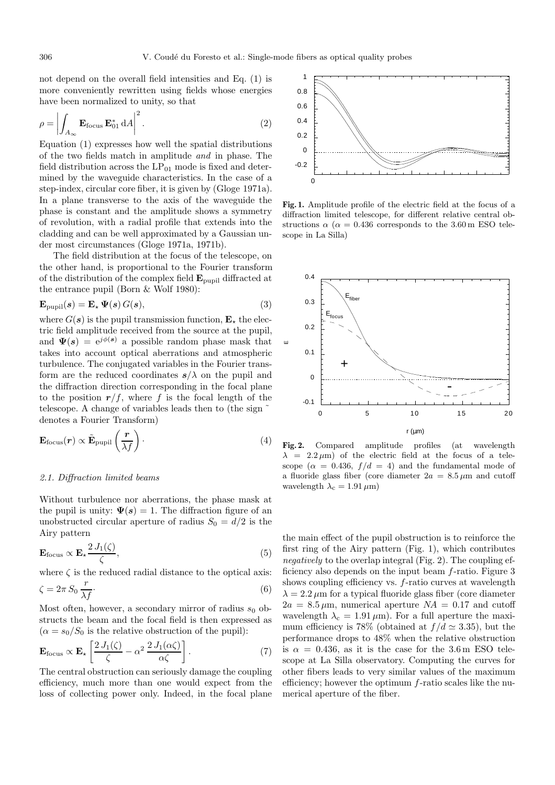not depend on the overall field intensities and Eq. (1) is more conveniently rewritten using fields whose energies have been normalized to unity, so that

$$
\rho = \left| \int_{A_{\infty}} \mathbf{E}_{\text{focus}} \, \mathbf{E}_{01}^* \, \mathrm{d}A \right|^2. \tag{2}
$$

Equation (1) expresses how well the spatial distributions of the two fields match in amplitude and in phase. The field distribution across the  $LP_{01}$  mode is fixed and determined by the waveguide characteristics. In the case of a step-index, circular core fiber, it is given by (Gloge 1971a). In a plane transverse to the axis of the waveguide the phase is constant and the amplitude shows a symmetry of revolution, with a radial profile that extends into the cladding and can be well approximated by a Gaussian under most circumstances (Gloge 1971a, 1971b).

The field distribution at the focus of the telescope, on the other hand, is proportional to the Fourier transform of the distribution of the complex field **E**pupil diffracted at the entrance pupil (Born & Wolf 1980):

$$
\mathbf{E}_{\text{pupil}}(\mathbf{s}) = \mathbf{E}_{\star} \, \Psi(\mathbf{s}) \, G(\mathbf{s}), \tag{3}
$$

where  $G(s)$  is the pupil transmission function,  $\mathbf{E}_{\star}$  the electric field amplitude received from the source at the pupil, and  $\Psi(s)=e^{j\phi(s)}$  a possible random phase mask that takes into account optical aberrations and atmospheric turbulence. The conjugated variables in the Fourier transform are the reduced coordinates  $s/\lambda$  on the pupil and the diffraction direction corresponding in the focal plane to the position  $r/f$ , where f is the focal length of the telescope. A change of variables leads then to (the sign ˜ denotes a Fourier Transform)

$$
\mathbf{E}_{\text{focus}}(\boldsymbol{r}) \propto \tilde{\mathbf{E}}_{\text{pupil}} \left(\frac{\boldsymbol{r}}{\lambda f}\right). \tag{4}
$$

#### 2.1. Diffraction limited beams

Without turbulence nor aberrations, the phase mask at the pupil is unity:  $\Psi(s) = 1$ . The diffraction figure of an unobstructed circular aperture of radius  $S_0 = d/2$  is the Airy pattern

$$
\mathbf{E}_{\text{focus}} \propto \mathbf{E}_{\star} \frac{2 J_1(\zeta)}{\zeta},\tag{5}
$$

where  $\zeta$  is the reduced radial distance to the optical axis:

$$
\zeta = 2\pi S_0 \frac{r}{\lambda f}.\tag{6}
$$

Most often, however, a secondary mirror of radius  $s_0$  obstructs the beam and the focal field is then expressed as  $(\alpha = s_0/S_0$  is the relative obstruction of the pupil):

$$
\mathbf{E}_{\text{focus}} \propto \mathbf{E}_{\star} \left[ \frac{2 J_1(\zeta)}{\zeta} - \alpha^2 \, \frac{2 J_1(\alpha \zeta)}{\alpha \zeta} \right]. \tag{7}
$$

The central obstruction can seriously damage the coupling efficiency, much more than one would expect from the loss of collecting power only. Indeed, in the focal plane



**Fig. 1.** Amplitude profile of the electric field at the focus of a diffraction limited telescope, for different relative central obstructions  $\alpha$  ( $\alpha$  = 0.436 corresponds to the 3.60 m ESO telescope in La Silla)



**Fig. 2.** Compared amplitude profiles (at wavelength  $\lambda$  = 2.2  $\mu$ m) of the electric field at the focus of a telescope ( $\alpha = 0.436$ ,  $f/d = 4$ ) and the fundamental mode of a fluoride glass fiber (core diameter  $2a = 8.5 \,\mu \text{m}$  and cutoff wavelength  $\lambda_c = 1.91 \,\mu\text{m}$ )

the main effect of the pupil obstruction is to reinforce the first ring of the Airy pattern (Fig. 1), which contributes negatively to the overlap integral (Fig. 2). The coupling efficiency also depends on the input beam f-ratio. Figure 3 shows coupling efficiency vs. f-ratio curves at wavelength  $\lambda = 2.2 \,\mu\text{m}$  for a typical fluoride glass fiber (core diameter  $2a = 8.5 \,\mu\text{m}$ , numerical aperture  $NA = 0.17$  and cutoff wavelength  $\lambda_c = 1.91 \,\mu\text{m}$ . For a full aperture the maximum efficiency is 78% (obtained at  $f/d \approx 3.35$ ), but the performance drops to 48% when the relative obstruction is  $\alpha = 0.436$ , as it is the case for the 3.6 m ESO telescope at La Silla observatory. Computing the curves for other fibers leads to very similar values of the maximum efficiency; however the optimum f-ratio scales like the numerical aperture of the fiber.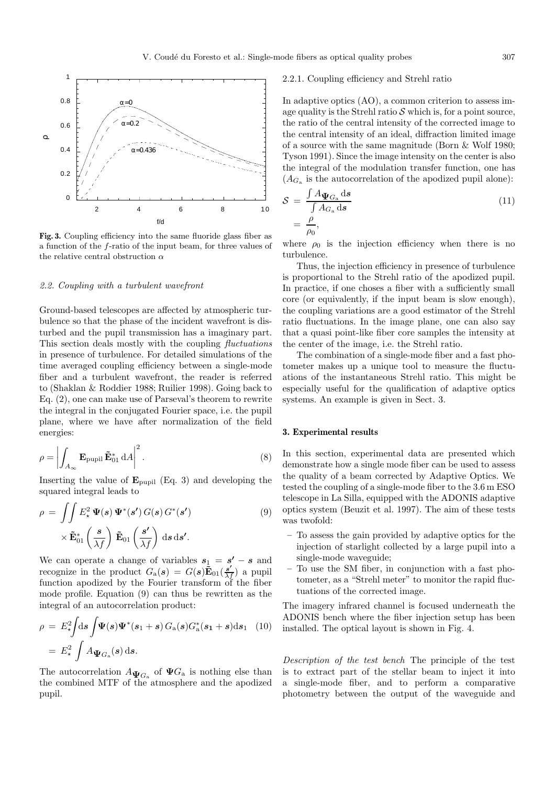

**Fig. 3.** Coupling efficiency into the same fluoride glass fiber as a function of the f-ratio of the input beam, for three values of the relative central obstruction  $\alpha$ 

#### 2.2. Coupling with a turbulent wavefront

Ground-based telescopes are affected by atmospheric turbulence so that the phase of the incident wavefront is disturbed and the pupil transmission has a imaginary part. This section deals mostly with the coupling fluctuations in presence of turbulence. For detailed simulations of the time averaged coupling efficiency between a single-mode fiber and a turbulent wavefront, the reader is referred to (Shaklan & Roddier 1988; Ruilier 1998). Going back to Eq. (2), one can make use of Parseval's theorem to rewrite the integral in the conjugated Fourier space, i.e. the pupil plane, where we have after normalization of the field energies:

$$
\rho = \left| \int_{A_{\infty}} \mathbf{E}_{\text{pupil}} \, \tilde{\mathbf{E}}_{01}^* \, \mathrm{d}A \right|^2. \tag{8}
$$

Inserting the value of  $\mathbf{E}_{\text{punil}}$  (Eq. 3) and developing the squared integral leads to

$$
\rho = \iint E_{\star}^{2} \Psi(s) \Psi^{*}(s') G(s) G^{*}(s')
$$
  
 
$$
\times \tilde{\mathbf{E}}_{01}^{*} \left(\frac{s}{\lambda f}\right) \tilde{\mathbf{E}}_{01} \left(\frac{s'}{\lambda f}\right) ds ds'.
$$
 (9)

We can operate a change of variables  $s_1 = s' - s$  and recognize in the product  $G_a(s) = G(s)\tilde{\mathbf{E}}_{01}(\frac{s'}{\lambda f})$  a pupil function apodized by the Fourier transform of the fiber mode profile. Equation (9) can thus be rewritten as the integral of an autocorrelation product:

$$
\rho = E_{\star}^2 \int \mathrm{d}s \int \Psi(s) \Psi^*(s_1 + s) G_{\rm a}(s) G_{\rm a}^*(s_1 + s) \mathrm{d}s_1 \quad (10)
$$

$$
= E_{\star}^2 \int A_{\Psi G_{\rm a}}(s) \, \mathrm{d}s.
$$

The autocorrelation  $A_{\Psi_{G_a}}$  of  $\Psi_{G_a}$  is nothing else than the combined MTF of the atmosphere and the apodized pupil.

### 2.2.1. Coupling efficiency and Strehl ratio

In adaptive optics (AO), a common criterion to assess image quality is the Strehl ratio  $\mathcal S$  which is, for a point source, the ratio of the central intensity of the corrected image to the central intensity of an ideal, diffraction limited image of a source with the same magnitude (Born & Wolf 1980; Tyson 1991). Since the image intensity on the center is also the integral of the modulation transfer function, one has  $(A_{G_n})$  is the autocorrelation of the apodized pupil alone):

$$
S = \frac{\int A_{\Psi G_{\rm a}} ds}{\int A_{G_{\rm a}} ds}
$$
  
=  $\frac{\rho}{\rho_0}$ , (11)

where  $\rho_0$  is the injection efficiency when there is no turbulence.

Thus, the injection efficiency in presence of turbulence is proportional to the Strehl ratio of the apodized pupil. In practice, if one choses a fiber with a sufficiently small core (or equivalently, if the input beam is slow enough), the coupling variations are a good estimator of the Strehl ratio fluctuations. In the image plane, one can also say that a quasi point-like fiber core samples the intensity at the center of the image, i.e. the Strehl ratio.

The combination of a single-mode fiber and a fast photometer makes up a unique tool to measure the fluctuations of the instantaneous Strehl ratio. This might be especially useful for the qualification of adaptive optics systems. An example is given in Sect. 3.

#### **3. Experimental results**

In this section, experimental data are presented which demonstrate how a single mode fiber can be used to assess the quality of a beam corrected by Adaptive Optics. We tested the coupling of a single-mode fiber to the 3.6 m ESO telescope in La Silla, equipped with the ADONIS adaptive optics system (Beuzit et al. 1997). The aim of these tests was twofold:

- **–** To assess the gain provided by adaptive optics for the injection of starlight collected by a large pupil into a single-mode waveguide;
- **–** To use the SM fiber, in conjunction with a fast photometer, as a "Strehl meter" to monitor the rapid fluctuations of the corrected image.

The imagery infrared channel is focused underneath the ADONIS bench where the fiber injection setup has been installed. The optical layout is shown in Fig. 4.

Description of the test bench The principle of the test is to extract part of the stellar beam to inject it into a single-mode fiber, and to perform a comparative photometry between the output of the waveguide and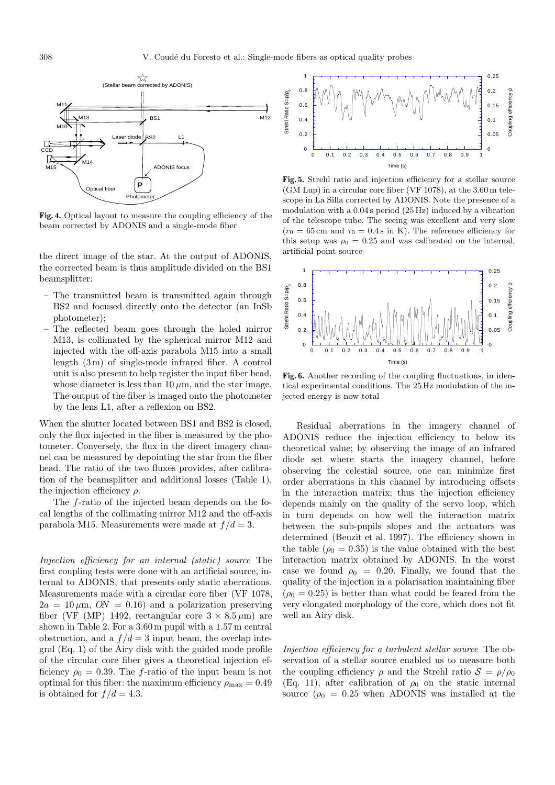

**Fig. 4.** Optical layout to measure the coupling efficiency of the beam corrected by ADONIS and a single-mode fiber

the direct image of the star. At the output of ADONIS, the corrected beam is thus amplitude divided on the BS1 beamsplitter:

- **–** The transmitted beam is transmitted again through BS2 and focused directly onto the detector (an InSb photometer);
- **–** The reflected beam goes through the holed mirror M13, is collimated by the spherical mirror M12 and injected with the off-axis parabola M15 into a small length (3 m) of single-mode infrared fiber. A control unit is also present to help register the input fiber head, whose diameter is less than 10  $\mu$ m, and the star image. The output of the fiber is imaged onto the photometer by the lens L1, after a reflexion on BS2.

When the shutter located between BS1 and BS2 is closed, only the flux injected in the fiber is measured by the photometer. Conversely, the flux in the direct imagery channel can be measured by depointing the star from the fiber head. The ratio of the two fluxes provides, after calibration of the beamsplitter and additional losses (Table 1), the injection efficiency  $\rho$ .

The f-ratio of the injected beam depends on the focal lengths of the collimating mirror M12 and the off-axis parabola M15. Measurements were made at  $f/d = 3$ .

Injection efficiency for an internal (static) source The first coupling tests were done with an artificial source, internal to ADONIS, that presents only static aberrations. Measurements made with a circular core fiber (VF 1078,  $2a = 10 \,\mu\text{m}$ ,  $ON = 0.16$  and a polarization preserving fiber (VF (MP) 1492, rectangular core  $3 \times 8.5 \,\mu$ m) are shown in Table 2. For a 3.60 m pupil with a 1.57 m central obstruction, and a  $f/d = 3$  input beam, the overlap integral (Eq. 1) of the Airy disk with the guided mode profile of the circular core fiber gives a theoretical injection efficiency  $\rho_0 = 0.39$ . The f-ratio of the input beam is not optimal for this fiber: the maximum efficiency  $\rho_{\text{max}} = 0.49$ is obtained for  $f/d = 4.3$ .



**Fig. 5.** Strehl ratio and injection efficiency for a stellar source (GM Lup) in a circular core fiber (VF 1078), at the 3.60 m telescope in La Silla corrected by ADONIS. Note the presence of a modulation with a 0.04 s period (25 Hz) induced by a vibration of the telescope tube. The seeing was excellent and very slow  $(r_0 = 65 \text{ cm and } \tau_0 = 0.4 \text{ s in K})$ . The reference efficiency for this setup was  $\rho_0 = 0.25$  and was calibrated on the internal, artificial point source



**Fig. 6.** Another recording of the coupling fluctuations, in identical experimental conditions. The 25 Hz modulation of the injected energy is now total

Residual aberrations in the imagery channel of ADONIS reduce the injection efficiency to below its theoretical value; by observing the image of an infrared diode set where starts the imagery channel, before observing the celestial source, one can minimize first order aberrations in this channel by introducing offsets in the interaction matrix; thus the injection efficiency depends mainly on the quality of the servo loop, which in turn depends on how well the interaction matrix between the sub-pupils slopes and the actuators was determined (Beuzit et al. 1997). The efficiency shown in the table ( $\rho_0 = 0.35$ ) is the value obtained with the best interaction matrix obtained by ADONIS. In the worst case we found  $\rho_0 = 0.20$ . Finally, we found that the quality of the injection in a polarisation maintaining fiber  $(\rho_0 = 0.25)$  is better than what could be feared from the very elongated morphology of the core, which does not fit well an Airy disk.

Injection efficiency for a turbulent stellar source The observation of a stellar source enabled us to measure both the coupling efficiency  $\rho$  and the Strehl ratio  $S = \rho/\rho_0$ (Eq. 11), after calibration of  $\rho_0$  on the static internal source ( $\rho_0 = 0.25$  when ADONIS was installed at the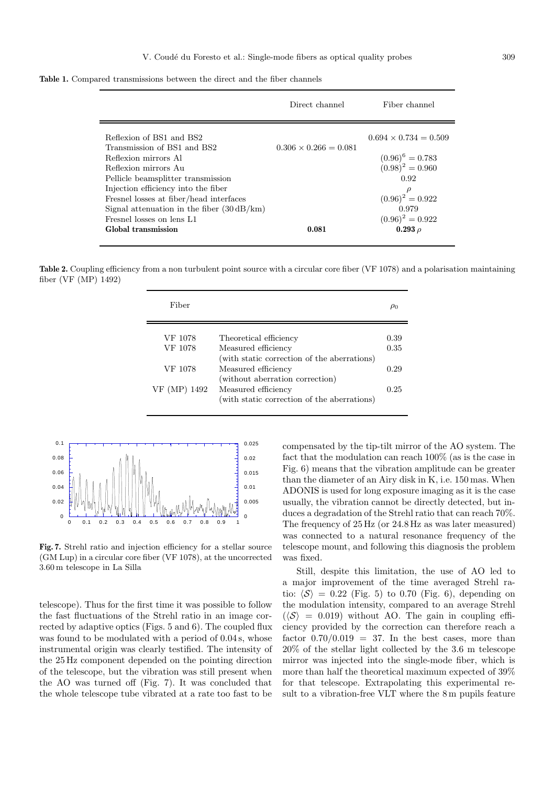**Table 1.** Compared transmissions between the direct and the fiber channels

|                                                                                                                                                                                                                                  | Direct channel               | Fiber channel                                                             |
|----------------------------------------------------------------------------------------------------------------------------------------------------------------------------------------------------------------------------------|------------------------------|---------------------------------------------------------------------------|
| Reflexion of BS1 and BS2<br>Transmission of BS1 and BS2<br>Reflexion mirrors Al<br>Reflexion mirrors Au                                                                                                                          | $0.306 \times 0.266 = 0.081$ | $0.694 \times 0.734 = 0.509$<br>$(0.96)^6 = 0.783$<br>$(0.98)^2 = 0.960$  |
| Pellicle beamsplitter transmission<br>Injection efficiency into the fiber<br>Fresnel losses at fiber/head interfaces<br>Signal attenuation in the fiber $(30 \text{ dB/km})$<br>Fresnel losses on lens L1<br>Global transmission | 0.081                        | 0.92<br>$(0.96)^2 = 0.922$<br>0.979<br>$(0.96)^2 = 0.922$<br>$0.293 \rho$ |

Table 2. Coupling efficiency from a non turbulent point source with a circular core fiber (VF 1078) and a polarisation maintaining fiber (VF (MP) 1492)

| Fiber        |                                             | $\mu_0$ |
|--------------|---------------------------------------------|---------|
| VF 1078      |                                             | 0.39    |
|              | Theoretical efficiency                      |         |
| VF 1078      | Measured efficiency                         | 0.35    |
|              | (with static correction of the aberrations) |         |
| VF 1078      | Measured efficiency                         | 0.29    |
|              | (without aberration correction)             |         |
| VF (MP) 1492 | Measured efficiency                         | 0.25    |
|              | (with static correction of the aberrations) |         |



**Fig. 7.** Strehl ratio and injection efficiency for a stellar source (GM Lup) in a circular core fiber (VF 1078), at the uncorrected 3.60 m telescope in La Silla

telescope). Thus for the first time it was possible to follow the fast fluctuations of the Strehl ratio in an image corrected by adaptive optics (Figs. 5 and 6). The coupled flux was found to be modulated with a period of 0.04s, whose instrumental origin was clearly testified. The intensity of the 25 Hz component depended on the pointing direction of the telescope, but the vibration was still present when the AO was turned off (Fig. 7). It was concluded that the whole telescope tube vibrated at a rate too fast to be

compensated by the tip-tilt mirror of the AO system. The fact that the modulation can reach 100% (as is the case in Fig. 6) means that the vibration amplitude can be greater than the diameter of an Airy disk in K, i.e. 150 mas. When ADONIS is used for long exposure imaging as it is the case usually, the vibration cannot be directly detected, but induces a degradation of the Strehl ratio that can reach 70%. The frequency of 25 Hz (or 24.8 Hz as was later measured) was connected to a natural resonance frequency of the telescope mount, and following this diagnosis the problem was fixed.

Still, despite this limitation, the use of AO led to a major improvement of the time averaged Strehl ratio:  $\langle S \rangle = 0.22$  (Fig. 5) to 0.70 (Fig. 6), depending on the modulation intensity, compared to an average Strehl  $(\langle S \rangle = 0.019)$  without AO. The gain in coupling efficiency provided by the correction can therefore reach a factor  $0.70/0.019 = 37$ . In the best cases, more than 20% of the stellar light collected by the 3.6 m telescope mirror was injected into the single-mode fiber, which is more than half the theoretical maximum expected of 39% for that telescope. Extrapolating this experimental result to a vibration-free VLT where the 8 m pupils feature